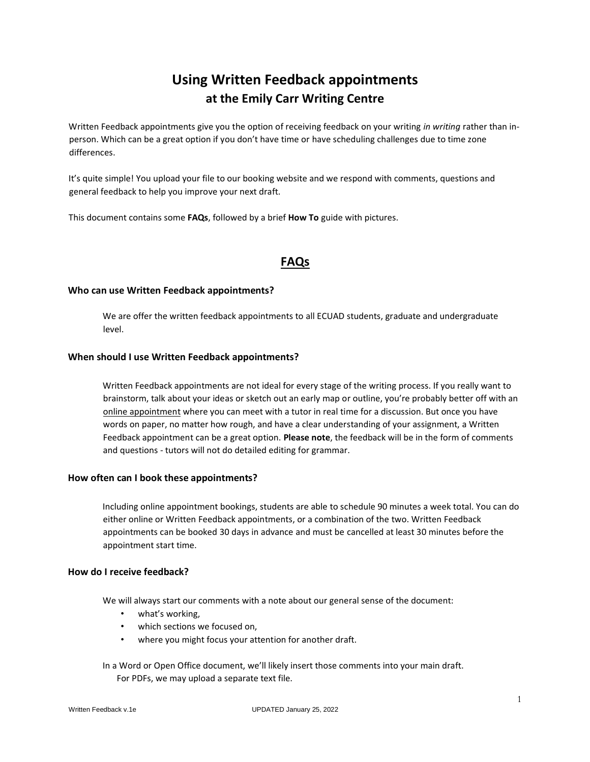# **Using Written Feedback appointments at the Emily Carr Writing Centre**

Written Feedback appointments give you the option of receiving feedback on your writing *in writing* rather than inperson. Which can be a great option if you don't have time or have scheduling challenges due to time zone differences.

It's quite simple! You upload your file to our booking website and we respond with comments, questions and general feedback to help you improve your next draft.

This document contains some **FAQs**, followed by a brief **How To** guide with pictures.

### **FAQs**

#### **Who can use Written Feedback appointments?**

We are offer the written feedback appointments to all ECUAD students, graduate and undergraduate level.

#### **When should I use Written Feedback appointments?**

Written Feedback appointments are not ideal for every stage of the writing process. If you really want to brainstorm, talk about your ideas or sketch out an early map or outline, you're probably better off with an online appointment where you can meet with a tutor in real time for a discussion. But once you have words on paper, no matter how rough, and have a clear understanding of your assignment, a Written Feedback appointment can be a great option. **Please note**, the feedback will be in the form of comments and questions - tutors will not do detailed editing for grammar.

#### **How often can I book these appointments?**

Including online appointment bookings, students are able to schedule 90 minutes a week total. You can do either online or Written Feedback appointments, or a combination of the two. Written Feedback appointments can be booked 30 days in advance and must be cancelled at least 30 minutes before the appointment start time.

#### **How do I receive feedback?**

We will always start our comments with a note about our general sense of the document:

- what's working,
- which sections we focused on,
- where you might focus your attention for another draft.

In a Word or Open Office document, we'll likely insert those comments into your main draft. For PDFs, we may upload a separate text file.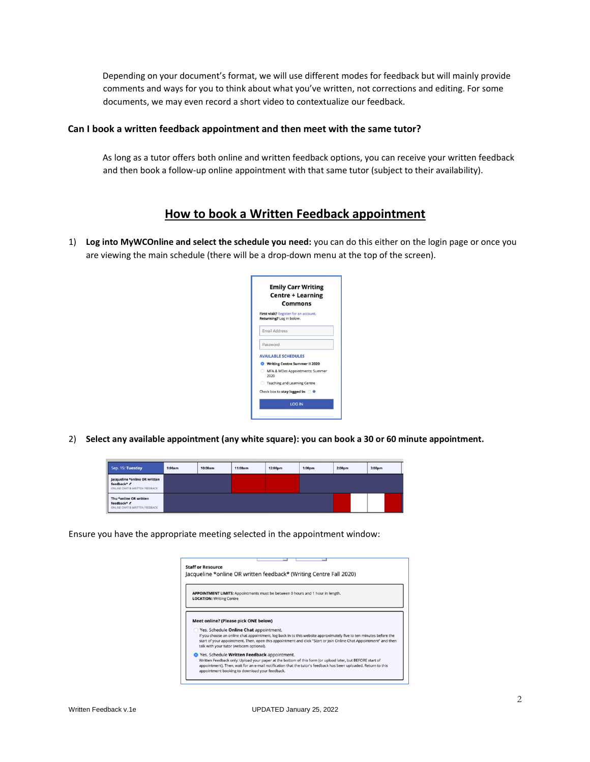Depending on your document's format, we will use different modes for feedback but will mainly provide comments and ways for you to think about what you've written, not corrections and editing. For some documents, we may even record a short video to contextualize our feedback.

#### **Can I book a written feedback appointment and then meet with the same tutor?**

As long as a tutor offers both online and written feedback options, you can receive your written feedback and then book a follow-up online appointment with that same tutor (subject to their availability).

## **How to book a Written Feedback appointment**

1) **Log into MyWCOnline and select the schedule you need:** you can do this either on the login page or once you are viewing the main schedule (there will be a drop-down menu at the top of the screen).



2) **Select any available appointment (any white square): you can book a 30 or 60 minute appointment.** 

| Sep. 15: Tuesday                                                               | 9:00am | 10:00am | 11:00am | 12:00pm | 1:00 <sub>pm</sub><br>2:00pm |  | 3:00pm |
|--------------------------------------------------------------------------------|--------|---------|---------|---------|------------------------------|--|--------|
| Jacqueline *online OR written<br>feedback* /<br>ONLINE CHAT & WRITTEN FEEDBACK |        |         |         |         |                              |  |        |
| Thu *online OR written<br>feedback* /<br>ONLINE CHAT & WRITTEN FEEDBACK        |        |         |         |         |                              |  |        |

Ensure you have the appropriate meeting selected in the appointment window:

| <b>LOCATION: Writing Centre</b>        |                                                                                                                                                                                                                                         |
|----------------------------------------|-----------------------------------------------------------------------------------------------------------------------------------------------------------------------------------------------------------------------------------------|
|                                        |                                                                                                                                                                                                                                         |
| Meet online? (Please pick ONE below)   |                                                                                                                                                                                                                                         |
| Yes. Schedule Online Chat appointment. | If you choose an online chat appointment, log back in to this website approximately five to ten minutes before the<br>start of your appointment. Then, open this appointment and click "Start or Join Online Chat Appointment" and then |
|                                        |                                                                                                                                                                                                                                         |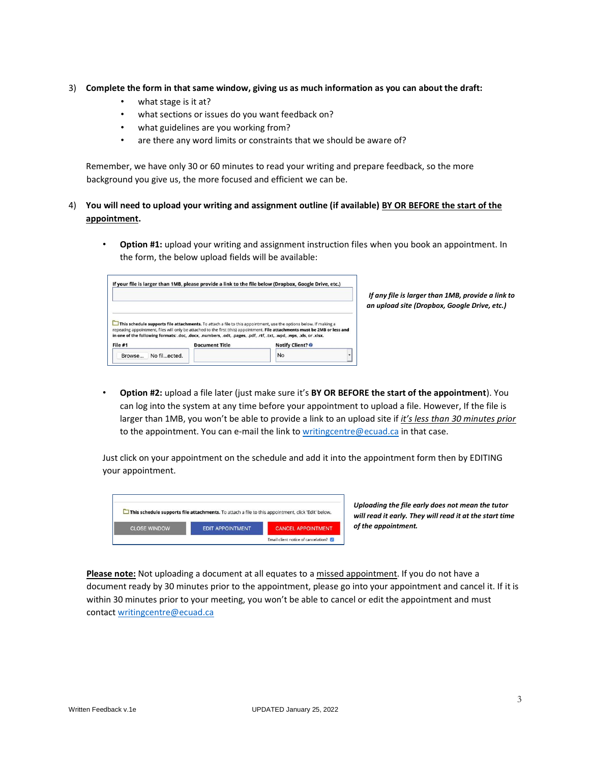#### 3) **Complete the form in that same window, giving us as much information as you can about the draft:**

- what stage is it at?
- what sections or issues do you want feedback on?
- what guidelines are you working from?
- are there any word limits or constraints that we should be aware of?

Remember, we have only 30 or 60 minutes to read your writing and prepare feedback, so the more background you give us, the more focused and efficient we can be.

#### 4) **You will need to upload your writing and assignment outline (if available) BY OR BEFORE the start of the appointment.**

• **Option #1:** upload your writing and assignment instruction files when you book an appointment. In the form, the below upload fields will be available:

|                                                                                                                                                                                                                                                                |                       |                                                                                                                   | !f any file<br>an upload s |
|----------------------------------------------------------------------------------------------------------------------------------------------------------------------------------------------------------------------------------------------------------------|-----------------------|-------------------------------------------------------------------------------------------------------------------|----------------------------|
|                                                                                                                                                                                                                                                                |                       |                                                                                                                   |                            |
|                                                                                                                                                                                                                                                                |                       | This schedule supports file attachments. To attach a file to this appointment, use the options below. If making a |                            |
| repeating appointment, files will only be attached to the first (this) appointment. File attachments must be 2MB or less and<br>in one of the following formats: .doc, .docx, .numbers, .odt, .pages, .pdf, .rtf, .txt, .wpd, .wps, .xls, or .xlsx.<br>File #1 | <b>Document Title</b> | <b>Notify Client? @</b>                                                                                           |                            |

*If any file is larger than 1MB, provide a link to an upload site (Dropbox, Google Drive, etc.)* 

• **Option #2:** upload a file later (just make sure it's **BY OR BEFORE the start of the appointment**). You can log into the system at any time before your appointment to upload a file. However, If the file is larger than 1MB, you won't be able to provide a link to an upload site if *it's less than 30 minutes prior* to the appointment. You can e-mail the link to [writingcentre@ecuad.ca](mailto:writingcentre@ecuad.ca) in that case.

Just click on your appointment on the schedule and add it into the appointment form then by EDITING your appointment.

|                     | $\Box$ This schedule supports file attachments. To attach a file to this appointment, click 'Edit' below. |                           |
|---------------------|-----------------------------------------------------------------------------------------------------------|---------------------------|
| <b>CLOSE WINDOW</b> | <b>EDIT APPOINTMENT</b>                                                                                   | <b>CANCEL APPOINTMENT</b> |

*Uploading the file early does not mean the tutor will read it early. They will read it at the start time of the appointment.*

**Please note:** Not uploading a document at all equates to a missed appointment. If you do not have a document ready by 30 minutes prior to the appointment, please go into your appointment and cancel it. If it is within 30 minutes prior to your meeting, you won't be able to cancel or edit the appointment and must contac[t writingcentre@ecuad.ca](mailto:writingcentre@ecuad.ca)